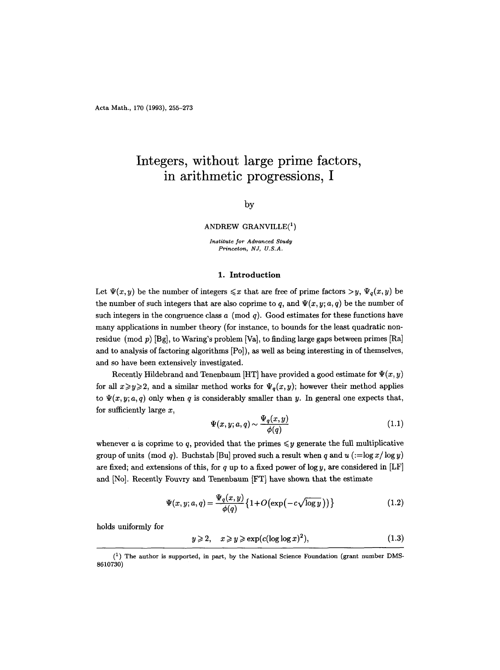# **Integers, without large prime factors, in arithmetic progressions, I**

## by

#### ANDREW GRANVILLE $(^1)$

*Institute for Advanced Study*   $Princeton, NJ, U.S.A.$ 

# 1. Introduction

Let  $\Psi(x, y)$  be the number of integers  $\leq x$  that are free of prime factors  $>y$ ,  $\Psi_q(x, y)$  be the number of such integers that are also coprime to q, and  $\Psi(x, y; a, q)$  be the number of such integers in the congruence class  $a \pmod{q}$ . Good estimates for these functions have many applications in number theory (for instance, to bounds for the least quadratic nonresidue (mod  $p$ ) [Bg], to Waring's problem [Va], to finding large gaps between primes [Ra] and to analysis of factoring algorithms [Po]), as well as being interesting in of themselves, and so have been extensively investigated.

Recently Hildebrand and Tenenbaum [HT] have provided a good estimate for  $\Psi(x, y)$ for all  $x \ge y \ge 2$ , and a similar method works for  $\Psi_q(x, y)$ ; however their method applies to  $\Psi(x, y; a, q)$  only when q is considerably smaller than y. In general one expects that, for sufficiently large  $x$ ,

$$
\Psi(x, y; a, q) \sim \frac{\Psi_q(x, y)}{\phi(q)}\tag{1.1}
$$

whenever a is coprime to q, provided that the primes  $\leq y$  generate the full multiplicative group of units (mod q). Buchstab [Bu] proved such a result when q and  $u$  (:=log  $x/\log y$ ) are fixed; and extensions of this, for q up to a fixed power of  $\log y$ , are considered in [LF] and [No]. Recently Fouvry and Tenenbaum [FT] have shown that the estimate

$$
\Psi(x, y; a, q) = \frac{\Psi_q(x, y)}{\phi(q)} \left\{ 1 + O\left(\exp\left(-c\sqrt{\log y}\right)\right) \right\} \tag{1.2}
$$

holds uniformly for

$$
y \geqslant 2, \quad x \geqslant y \geqslant \exp(c(\log \log x)^2), \tag{1.3}
$$

 $(1)$  The author is supported, in part, by the National Science Foundation (grant number DMS-8610730)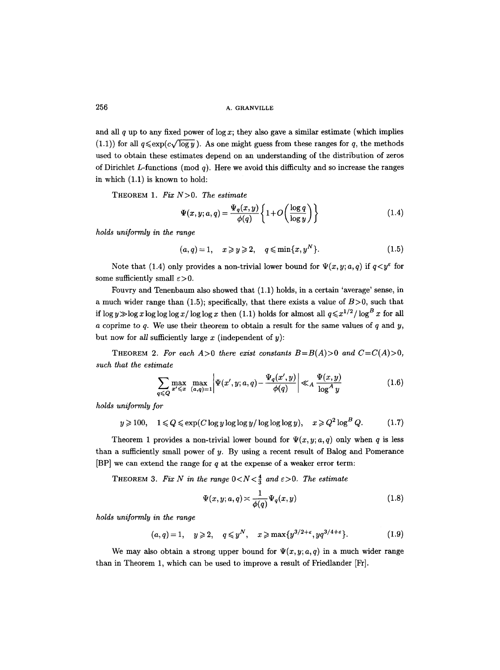and all q up to any fixed power of log x; they also gave a similar estimate (which implies (1.1)) for all  $q \leq \exp(c \sqrt{\log y})$ . As one might guess from these ranges for q, the methods used to obtain these estimates depend on an understanding of the distribution of zeros of Dirichlet L-functions (mod q). Here we avoid this difficulty and so increase the ranges in which (1.1) is known to hold:

THEOREM 1. *Fix N>O. The estimate* 

$$
\Psi(x, y; a, q) = \frac{\Psi_q(x, y)}{\phi(q)} \left\{ 1 + O\left(\frac{\log q}{\log y}\right) \right\} \tag{1.4}
$$

*holds uniformly in the range* 

$$
(a,q)=1, \quad x\geqslant y\geqslant 2, \quad q\leqslant \min\{x,y^N\}.\tag{1.5}
$$

Note that (1.4) only provides a non-trivial lower bound for  $\Psi(x, y; a, q)$  if  $q < y^{\varepsilon}$  for some sufficiently small  $\varepsilon > 0$ .

Fouvry and Tenenbaum also showed that (1.1) holds, in a certain 'average' sense, in a much wider range than (1.5); specifically, that there exists a value of  $B > 0$ , such that if  $\log y \gg \log x \log \log \log x / \log \log x$  then (1.1) holds for almost all  $q \leq x^{1/2} / \log^{B} x$  for all a coprime to  $q$ . We use their theorem to obtain a result for the same values of  $q$  and  $y$ , but now for *all* sufficiently large  $x$  (independent of  $y$ ):

THEOREM 2. For each  $A>0$  there exist constants  $B=B(A)>0$  and  $C=C(A)>0$ , *such that the estimate* 

$$
\sum_{q \leq Q} \max_{x' \leq x} \max_{(a,q)=1} \left| \Psi(x',y;a,q) - \frac{\Psi_q(x',y)}{\phi(q)} \right| \ll_A \frac{\Psi(x,y)}{\log^A y} \tag{1.6}
$$

*holds uniformly for* 

$$
y \geqslant 100, \quad 1 \leqslant Q \leqslant \exp(C \log y \log \log y / \log \log \log y), \quad x \geqslant Q^2 \log^B Q. \tag{1.7}
$$

Theorem 1 provides a non-trivial lower bound for  $\Psi(x, y; a, q)$  only when q is less than a sufficiently small power of  $y$ . By using a recent result of Balog and Pomerance [BP] we can extend the range for  $q$  at the expense of a weaker error term:

THEOREM 3. Fix N in the range  $0 < N < \frac{4}{3}$  and  $\varepsilon > 0$ . The estimate

$$
\Psi(x, y; a, q) \asymp \frac{1}{\phi(q)} \Psi_q(x, y) \tag{1.8}
$$

*holds uniformly in the range* 

$$
(a,q)=1, \quad y\geqslant 2, \quad q\leqslant y^N, \quad x\geqslant \max\{y^{3/2+\varepsilon}, yq^{3/4+\varepsilon}\}. \tag{1.9}
$$

We may also obtain a strong upper bound for  $\Psi(x, y; a, q)$  in a much wider range than in Theorem 1, which can be used to improve a result of Friedlander [Fr].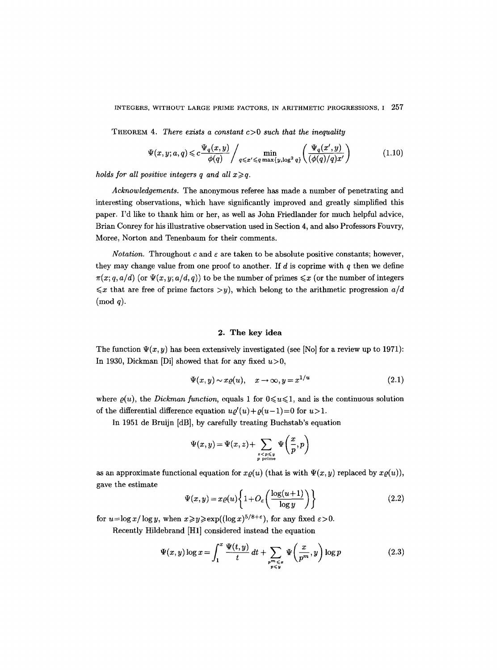THEOREM 4. *There exists a constant* c>0 *such that the inequality* 

$$
\Psi(x, y; a, q) \leq c \frac{\Psi_q(x, y)}{\phi(q)} / \min_{q \leq x' \leq q \max\{y, \log^2 q\}} \left( \frac{\Psi_q(x', y)}{(\phi(q)/q)x'} \right)
$$
(1.10)

*holds for all positive integers q and all*  $x \geq q$ *.* 

*Acknowledgements.* The anonymous referee has made a number of penetrating and interesting observations, which have significantly improved and greatly simplified this paper. I'd like to thank him or her, as well as John Friedlander for much helpful advice, Brian Conrey for his illustrative observation used in Section 4, and also Professors Fouvry, Moree, Norton and Tenenbaum for their comments.

*Notation.* Throughout c and  $\varepsilon$  are taken to be absolute positive constants; however, they may change value from one proof to another. If  $d$  is coprime with  $q$  then we define  $\pi(x; q, a/d)$  (or  $\Psi(x, y; a/d, q)$ ) to be the number of primes  $\leq x$  (or the number of integers  $\leq x$  that are free of prime factors  $>y$ ), which belong to the arithmetic progression  $a/d$  $(mod q).$ 

## **2. The key idea**

The function  $\Psi(x, y)$  has been extensively investigated (see [No] for a review up to 1971): In 1930, Dickman [Di] showed that for any fixed  $u>0$ ,

$$
\Psi(x, y) \sim x \varrho(u), \quad x \to \infty, y = x^{1/u} \tag{2.1}
$$

where  $\rho(u)$ , the *Dickman function*, equals 1 for  $0 \le u \le 1$ , and is the continuous solution of the differential difference equation  $u\varrho'(u) + \varrho(u-1) = 0$  for  $u > 1$ .

In 1951 de Bruijn [dB], by carefully treating Buchstab's equation

$$
\Psi(x,y) = \Psi(x,z) + \sum_{\substack{z < p \leqslant y \\ p \text{ prime}}} \Psi\left(\frac{x}{p},p\right)
$$

as an approximate functional equation for  $x\varrho(u)$  (that is with  $\Psi(x, y)$  replaced by  $x\varrho(u)$ ), gave the estimate

$$
\Psi(x,y) = x \varrho(u) \left\{ 1 + O_{\varepsilon} \left( \frac{\log(u+1)}{\log y} \right) \right\} \tag{2.2}
$$

for  $u=\log x/\log y$ , when  $x\geq y\geq \exp((\log x)^{5/8+\epsilon})$ , for any fixed  $\epsilon>0$ .

Recently Hildebrand [H1] considered instead the equation

$$
\Psi(x, y) \log x = \int_1^x \frac{\Psi(t, y)}{t} dt + \sum_{\substack{p^m \leq x \\ p \leq y}} \Psi\left(\frac{x}{p^m}, y\right) \log p \tag{2.3}
$$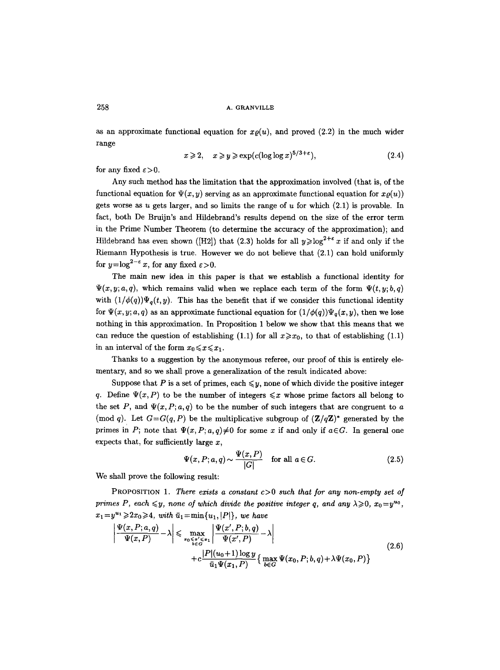as an approximate functional equation for  $x\mathfrak{g}(u)$ , and proved (2.2) in the much wider range

$$
x \geqslant 2, \quad x \geqslant y \geqslant \exp(c(\log \log x)^{5/3+\epsilon}), \tag{2.4}
$$

for any fixed  $\varepsilon > 0$ .

Any such method has the limitation that the approximation involved (that is, of the functional equation for  $\Psi(x, y)$  serving as an approximate functional equation for  $x\rho(u)$ gets worse as  $u$  gets larger, and so limits the range of  $u$  for which  $(2.1)$  is provable. In fact, both De Bruijn's and Hildebrand's results depend on the size of the error term in the Prime Number Theorem (to determine the accuracy of the approximation); and Hildebrand has even shown ([H2]) that (2.3) holds for all  $y \geq \log^{2+\epsilon} x$  if and only if the Riemann Hypothesis is true. However we do not believe that (2.1) can hold uniformly for  $y=\log^{2-\epsilon} x$ , for any fixed  $\varepsilon > 0$ .

The main new idea in this paper is that we establish a functional identity for  $\Psi(x, y; a, q)$ , which remains valid when we replace each term of the form  $\Psi(t, y; b, q)$ with  $(1/\phi(q))\Psi_q(t, y)$ . This has the benefit that if we consider this functional identity for  $\Psi(x, y; a, q)$  as an approximate functional equation for  $(1/\phi(q))\Psi_q(x, y)$ , then we lose nothing in this approximation. In Proposition 1 below we show that this means that we can reduce the question of establishing (1.1) for all  $x \ge x_0$ , to that of establishing (1.1) in an interval of the form  $x_0 \leq x \leq x_1$ .

Thanks to a suggestion by the anonymous referee, our proof of this is entirely elementary, and so we shall prove a generalization of the result indicated above:

Suppose that P is a set of primes, each  $\leq y$ , none of which divide the positive integer q. Define  $\Psi(x, P)$  to be the number of integers  $\leq x$  whose prime factors all belong to the set P, and  $\Psi(x, P; a, q)$  to be the number of such integers that are congruent to a (mod q). Let  $G = G(q, P)$  be the multiplicative subgroup of  $(\mathbb{Z}/q\mathbb{Z})^*$  generated by the primes in P; note that  $\Psi(x, P; a, q) \neq 0$  for some x if and only if  $a \in G$ . In general one expects that, for sufficiently large  $x$ ,

$$
\Psi(x, P; a, q) \sim \frac{\Psi(x, P)}{|G|} \quad \text{for all } a \in G.
$$
\n(2.5)

We shall prove the following result:

PROPOSITION 1. *There exists a constant* c>0 *such that for any non-empty set of primes P, each*  $\leq y$ , none of which divide the positive integer q, and any  $\lambda \geq 0$ ,  $x_0 = y^{u_0}$ ,  $x_1 = y^{u_1} \geq 2x_0 \geq 4$ , *with*  $\bar{u}_1 = \min\{u_1, |P|\}$ , *we have* 

$$
\left| \frac{\Psi(x, P; a, q)}{\Psi(x, P)} - \lambda \right| \leq \max_{\substack{x_0 \leq x' \leq x_1 \\ b \in G}} \left| \frac{\Psi(x', P; b, q)}{\Psi(x', P)} - \lambda \right|
$$
\n
$$
+ c \frac{|P|(u_0 + 1) \log y}{\bar{u}_1 \Psi(x_1, P)} \left\{ \max_{b \in G} \Psi(x_0, P; b, q) + \lambda \Psi(x_0, P) \right\}
$$
\n(2.6)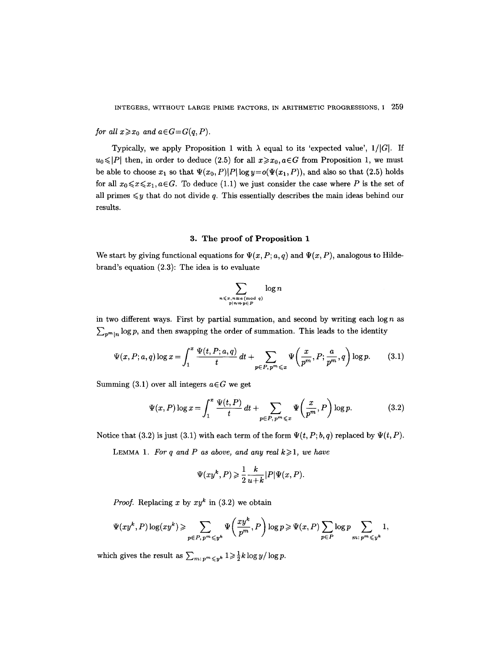*for all*  $x \ge x_0$  *and*  $a \in G = G(q, P)$ *.* 

Typically, we apply Proposition 1 with  $\lambda$  equal to its 'expected value',  $1/|G|$ . If  $u_0 \leq |P|$  then, in order to deduce (2.5) for all  $x \geq x_0, a \in G$  from Proposition 1, we must be able to choose  $x_1$  so that  $\Psi(x_0, P)|P| \log y = o(\Psi(x_1, P))$ , and also so that (2.5) holds for all  $x_0 \le x \le x_1, a \in G$ . To deduce (1.1) we just consider the case where P is the set of all primes  $\leq y$  that do not divide q. This essentially describes the main ideas behind our results.

## **3. The proof of Proposition 1**

We start by giving functional equations for  $\Psi(x, P; a, q)$  and  $\Psi(x, P)$ , analogous to Hildebrand's equation (2.3): The idea is to evaluate

$$
\sum_{\substack{n \leqslant x, n \equiv a \pmod{q} \\ p \mid n \Rightarrow p \in P}} \log n
$$

in two different ways. First by partial summation, and second by writing each  $\log n$  as  $\sum_{n^m|n} \log p$ , and then swapping the order of summation. This leads to the identity

$$
\Psi(x, P; a, q) \log x = \int_1^x \frac{\Psi(t, P; a, q)}{t} dt + \sum_{p \in P, p^m \leq x} \Psi\left(\frac{x}{p^m}, P; \frac{a}{p^m}, q\right) \log p. \tag{3.1}
$$

Summing (3.1) over all integers  $a \in G$  we get

$$
\Psi(x, P) \log x = \int_1^x \frac{\Psi(t, P)}{t} dt + \sum_{p \in P, p^m \leq x} \Psi\left(\frac{x}{p^m}, P\right) \log p. \tag{3.2}
$$

Notice that (3.2) is just (3.1) with each term of the form  $\Psi(t, P; b, q)$  replaced by  $\Psi(t, P)$ .

LEMMA 1. For q and P as above, and any real  $k \geq 1$ , we have

$$
\Psi(xy^k, P) \geqslant \frac{1}{2} \frac{k}{u+k} |P| \Psi(x, P).
$$

*Proof.* Replacing x by  $xy^k$  in (3.2) we obtain

$$
\Psi(xy^k, P) \log(xy^k) \geqslant \sum_{p \in P, \, p^m \leqslant y^k} \Psi\left(\frac{xy^k}{p^m}, P\right) \log p \geqslant \Psi(x, P) \sum_{p \in P} \log p \sum_{m: \, p^m \leqslant y^k} 1,
$$

which gives the result as  $\sum_{m:\, p^m \leqslant y^k} 1 \geqslant \frac{1}{2}k \log y / \log p$ .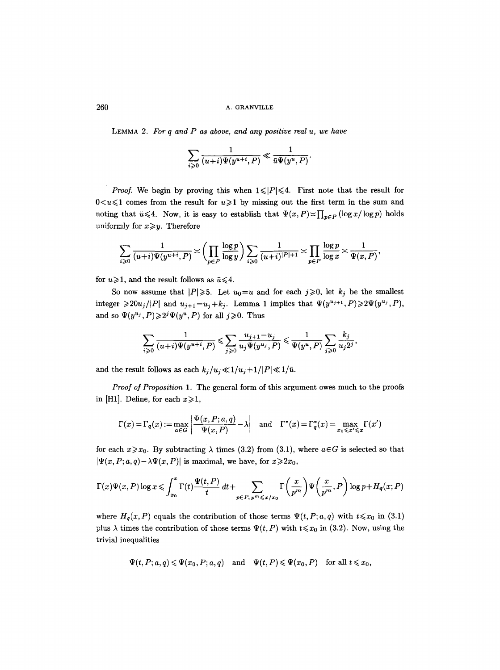LEMMA 2. *For q and P as above, and any positive real u, we have* 

$$
\sum_{i\geqslant 0}\frac{1}{(u+i)\Psi(y^{u+i},P)}\ll \frac{1}{\bar{u}\Psi(y^u,P)}.
$$

*Proof.* We begin by proving this when  $1 \leq |P| \leq 4$ . First note that the result for  $0<\nu\leq 1$  comes from the result for  $u\geq 1$  by missing out the first term in the sum and noting that  $\bar{u} \leq 4$ . Now, it is easy to establish that  $\Psi(x,P) \asymp \prod_{p \in P} (\log x / \log p)$  holds uniformly for  $x \geq y$ . Therefore

$$
\sum_{i \geqslant 0} \frac{1}{(u+i) \Psi(y^{u+i}, P)} \asymp \left(\prod_{p \in P} \frac{\log p}{\log y} \right) \sum_{i \geqslant 0} \frac{1}{(u+i)^{|P|+1}} \asymp \prod_{p \in P} \frac{\log p}{\log x} \asymp \frac{1}{\Psi(x, P)},
$$

for  $u \ge 1$ , and the result follows as  $\bar{u} \le 4$ .

So now assume that  $|P|\geqslant 5$ . Let  $u_0=u$  and for each  $j\geqslant 0$ , let  $k_j$  be the smallest integer  $\geq 20u_j/|P|$  and  $u_{j+1} = u_j + k_j$ . Lemma 1 implies that  $\Psi(y^{u_{j+1}}, P) \geq 2\Psi(y^{u_j}, P)$ , and so  $\Psi(y^{u_j}, P) \geq 2^j \Psi(y^u, P)$  for all  $j \geq 0$ . Thus

$$
\sum_{i\geqslant 0}\frac{1}{(u+i)\Psi(y^{u+i},P)}\leqslant \sum_{j\geqslant 0}\frac{u_{j+1}-u_j}{u_j\Psi(y^{u_j},P)}\leqslant \frac{1}{\Psi(y^u,P)}\sum_{j\geqslant 0}\frac{k_j}{u_j2^j},
$$

and the result follows as each  $k_j/u_j \ll 1/u_j + 1/|P| \ll 1/\bar{u}$ .

*Proof of Proposition* 1. The general form of this argument owes much to the proofs in [H1]. Define, for each  $x \ge 1$ ,

$$
\Gamma(x) = \Gamma_q(x) := \max_{a \in G} \left| \frac{\Psi(x, P; a, q)}{\Psi(x, P)} - \lambda \right| \quad \text{and} \quad \Gamma^*(x) = \Gamma_q^*(x) = \max_{x_0 \le x' \le x} \Gamma(x')
$$

for each  $x \ge x_0$ . By subtracting  $\lambda$  times (3.2) from (3.1), where  $a \in G$  is selected so that  $|\Psi(x, P; a, q) - \lambda \Psi(x, P)|$  is maximal, we have, for  $x \ge 2x_0$ ,

$$
\Gamma(x)\Psi(x,P)\log x \leqslant \int_{x_0}^x \Gamma(t)\frac{\Psi(t,P)}{t} dt + \sum_{p \in P, \, p^m \leqslant x/x_0} \Gamma\left(\frac{x}{p^m}\right)\Psi\left(\frac{x}{p^m},P\right) \log p + H_q(x;P)
$$

where  $H_q(x, P)$  equals the contribution of those terms  $\Psi(t, P; a, q)$  with  $t \leq x_0$  in (3.1) plus  $\lambda$  times the contribution of those terms  $\Psi(t, P)$  with  $t \leq x_0$  in (3.2). Now, using the trivial inequalities

$$
\Psi(t,P;a,q) \leqslant \Psi(x_0,P;a,q) \quad \text{and} \quad \Psi(t,P) \leqslant \Psi(x_0,P) \quad \text{for all } t \leqslant x_0,
$$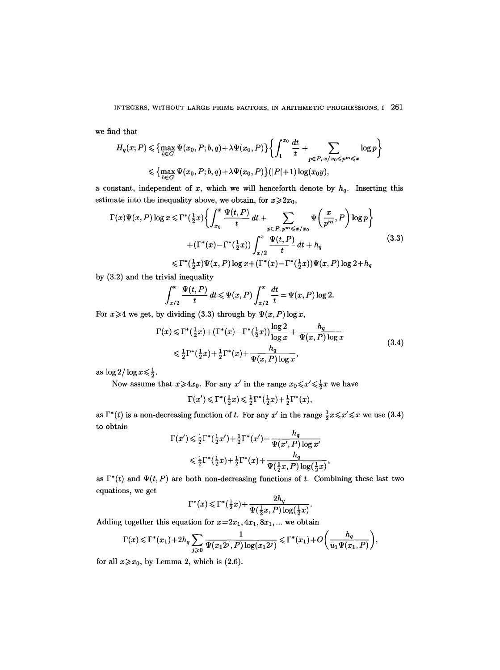we find that

$$
H_q(x;P) \leq \left\{ \max_{b \in G} \Psi(x_0, P; b, q) + \lambda \Psi(x_0, P) \right\} \left\{ \int_1^{x_0} \frac{dt}{t} + \sum_{p \in P, x/x_0 \leq p^m \leq x} \log p \right\}
$$
  

$$
\leq \left\{ \max_{b \in G} \Psi(x_0, P; b, q) + \lambda \Psi(x_0, P) \right\} (|P|+1) \log(x_0 y),
$$

a constant, independent of x, which we will henceforth denote by  $h_q$ . Inserting this estimate into the inequality above, we obtain, for  $x \ge 2x_0$ ,

$$
\Gamma(x)\Psi(x,P)\log x \leq \Gamma^*(\frac{1}{2}x)\left\{\int_{x_0}^x \frac{\Psi(t,P)}{t} dt + \sum_{p \in P, p^m \leq x/x_0} \Psi\left(\frac{x}{p^m}, P\right) \log p\right\}
$$
  
 
$$
+ (\Gamma^*(x) - \Gamma^*(\frac{1}{2}x)) \int_{x/2}^x \frac{\Psi(t,P)}{t} dt + h_q
$$
  
 
$$
\leq \Gamma^*(\frac{1}{2}x)\Psi(x,P)\log x + (\Gamma^*(x) - \Gamma^*(\frac{1}{2}x))\Psi(x,P)\log 2 + h_q
$$
\n(3.3)

by (3.2) and the trivial inequality

$$
\int_{x/2}^x \frac{\Psi(t, P)}{t} dt \leq \Psi(x, P) \int_{x/2}^x \frac{dt}{t} = \Psi(x, P) \log 2.
$$

For  $x \ge 4$  we get, by dividing (3.3) through by  $\Psi(x, P) \log x$ ,

$$
\Gamma(x) \leq \Gamma^*(\frac{1}{2}x) + (\Gamma^*(x) - \Gamma^*(\frac{1}{2}x)) \frac{\log 2}{\log x} + \frac{h_q}{\Psi(x, P) \log x}
$$
\n
$$
\leq \frac{1}{2} \Gamma^*(\frac{1}{2}x) + \frac{1}{2} \Gamma^*(x) + \frac{h_q}{\Psi(x, P) \log x},
$$
\n(3.4)

as  $\log 2/\log x \leq \frac{1}{2}$ .

Now assume that  $x \ge 4x_0$ . For any  $x'$  in the range  $x_0 \le x' \le \frac{1}{2}x$  we have

$$
\Gamma(x') \leq \Gamma^*(\tfrac{1}{2}x) \leq \tfrac{1}{2}\Gamma^*(\tfrac{1}{2}x) + \tfrac{1}{2}\Gamma^*(x),
$$

as  $\Gamma^*(t)$  is a non-decreasing function of t. For any x' in the range  $\frac{1}{2}x \leq x' \leq x$  we use (3.4) to obtain

$$
\Gamma(x') \leq \frac{1}{2}\Gamma^*(\frac{1}{2}x') + \frac{1}{2}\Gamma^*(x') + \frac{h_q}{\Psi(x',P)\log x'}
$$
  

$$
\leq \frac{1}{2}\Gamma^*(\frac{1}{2}x) + \frac{1}{2}\Gamma^*(x) + \frac{h_q}{\Psi(\frac{1}{2}x,P)\log(\frac{1}{2}x)}
$$

as  $\Gamma^*(t)$  and  $\Psi(t,P)$  are both non-decreasing functions of t. Combining these last two equations, we get

$$
\Gamma^*(x)\leqslant \Gamma^*(\tfrac{1}{2}x)+\frac{2h_q}{\Psi(\tfrac{1}{2}x,P)\log(\tfrac{1}{2}x)}.
$$

Adding together this equation for  $x=2x_1, 4x_1, 8x_1, ...$  we obtain

$$
\Gamma(x) \leqslant \Gamma^*(x_1) + 2h_q \sum_{j \geqslant 0} \frac{1}{\Psi(x_1 2^j, P) \log(x_1 2^j)} \leqslant \Gamma^*(x_1) + O\left(\frac{h_q}{\bar{u}_1 \Psi(x_1, P)}\right),
$$

for all  $x \ge x_0$ , by Lemma 2, which is (2.6).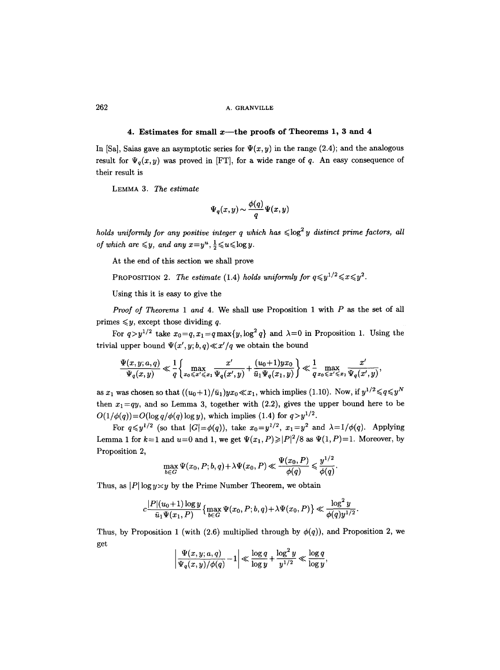## 4. Estimates for small x—the proofs of Theorems 1, 3 and 4

In [Sa], Saias gave an asymptotic series for  $\Psi(x, y)$  in the range (2.4); and the analogous result for  $\Psi_q(x,y)$  was proved in [FT], for a wide range of q. An easy consequence of their result is

LEMMA 3. *The estimate* 

$$
\Psi_q(x,y)\!\sim\!\frac{\phi(q)}{q}\Psi(x,y)
$$

*holds uniformly for any positive integer q which has*  $\leq$  log<sup>2</sup> *y distinct prime factors, all of which are*  $\leq y$ , and any  $x=y^u, \frac{1}{2} \leq u \leq \log y$ .

At the end of this section we shall prove

PROPOSITION 2. The estimate (1.4) holds uniformly for  $q \leq y^{1/2} \leq x \leq y^2$ .

Using this it is easy to give the

*Proof of Theorems 1 and* 4. We shall use Proposition 1 with P as the set of all primes  $\leq y$ , except those dividing q.

For  $q>y^{1/2}$  take  $x_0=q$ ,  $x_1=q$  max $\{y, \log^2 q\}$  and  $\lambda=0$  in Proposition 1. Using the trivial upper bound  $\Psi(x', y; b, q) \ll x'/q$  we obtain the bound

$$
\frac{\Psi(x,y;a,q)}{\Psi_q(x,y)} \ll \frac{1}{q} \bigg\{ \max_{x_0 \leqslant x' \leqslant x_1} \frac{x'}{\Psi_q(x',y)} + \frac{(u_0+1)yx_0}{\bar{u}_1\Psi_q(x_1,y)} \bigg\} \ll \frac{1}{q} \max_{x_0 \leqslant x' \leqslant x_1} \frac{x'}{\Psi_q(x',y)},
$$

as  $x_1$  was chosen so that  $((u_0+1)/\bar{u}_1)yx_0 \ll x_1$ , which implies (1.10). Now, if  $y^{1/2} \leq q \leq y^N$ then  $x_1=qy$ , and so Lemma 3, together with (2.2), gives the upper bound here to be  $O(1/\phi(q)) = O(\log q/\phi(q) \log y)$ , which implies (1.4) for  $q > y^{1/2}$ .

For  $q \leq y^{1/2}$  (so that  $|G| = \phi(q)$ ), take  $x_0 = y^{1/2}$ ,  $x_1 = y^2$  and  $\lambda = 1/\phi(q)$ . Applying Lemma 1 for  $k=1$  and  $u=0$  and 1, we get  $\Psi(x_1, P) \geq |P|^2/8$  as  $\Psi(1, P)=1$ . Moreover, by Proposition 2,

$$
\max_{b\in G} \Psi(x_0, P; b, q) + \lambda \Psi(x_0, P) \ll \frac{\Psi(x_0, P)}{\phi(q)} \leq \frac{y^{1/2}}{\phi(q)}.
$$

Thus, as  $|P| \log y \nless y$  by the Prime Number Theorem, we obtain

$$
c \frac{|P|(u_0+1)\log y}{\bar{u}_1 \Psi(x_1,P)} \left\{\max_{b \in G} \Psi(x_0,P;b,q) + \lambda \Psi(x_0,P)\right\} \ll \frac{\log^2 y}{\phi(q) y^{1/2}}.
$$

Thus, by Proposition 1 (with (2.6) multiplied through by  $\phi(q)$ ), and Proposition 2, we get

$$
\left|\frac{\Psi(x,y;a,q)}{\Psi_q(x,y)/\phi(q)}-1\right|\ll \frac{\log q}{\log y}+\frac{\log^2 y}{y^{1/2}}\ll \frac{\log q}{\log y},
$$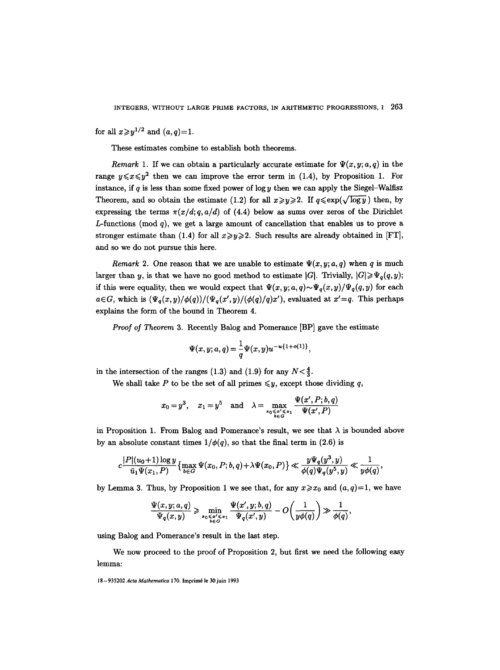for all  $x \geq y^{1/2}$  and  $(a, q)=1$ .

These estimates combine to establish both theorems.

*Remark* 1. If we can obtain a particularly accurate estimate for  $\Psi(x, y; a, q)$  in the range  $y \le x \le y^2$  then we can improve the error term in (1.4), by Proposition 1. For instance, if q is less than some fixed power of  $\log y$  then we can apply the Siegel-Walfisz Theorem, and so obtain the estimate (1.2) for all  $x \ge y \ge 2$ . If  $q \le \exp(\sqrt{\log y})$  then, by expressing the terms  $\pi(x/d; q, a/d)$  of (4.4) below as sums over zeros of the Dirichlet L-functions (mod  $q$ ), we get a large amount of cancellation that enables us to prove a stronger estimate than (1.4) for all  $x \ge y \ge 2$ . Such results are already obtained in [FT], and so we do not pursue this here.

*Remark* 2. One reason that we are unable to estimate  $\Psi(x, y; a, q)$  when q is much larger than y, is that we have no good method to estimate  $|G|$ . Trivially,  $|G| \geqslant \Psi_q(q, y)$ ; if this were equality, then we would expect that  $\Psi(x, y; a, q) \sim \Psi_q(x, y)/\Psi_q(q, y)$  for each  $a \in G$ , which is  $(\Psi_q(x, y)/\phi(q))/(\Psi_q(x', y)/(\phi(q)/q)x')$ , evaluated at  $x'=q$ . This perhaps explains the form of the bound in Theorem 4.

*Proof of Theorem* 3. Recently Balog and Pomerance [BP] gave the estimate

$$
\Psi(x,y;a,q) = \frac{1}{q}\Psi(x,y)u^{-u\{1+o(1)\}},
$$

in the intersection of the ranges (1.3) and (1.9) for any  $N < \frac{4}{3}$ .

We shall take P to be the set of all primes  $\leq y$ , except those dividing q,

$$
x_0=y^3,\quad x_1=y^5\quad\text{and}\quad \lambda=\max_{\tiny\begin{array}{c}x_0\leqslant x'\leqslant x_1\\ b\in G\end{array}}\frac{\Psi(x',P;b,q)}{\Psi(x',P)}
$$

in Proposition 1. From Balog and Pomerance's result, we see that  $\lambda$  is bounded above by an absolute constant times  $1/\phi(q)$ , so that the final term in (2.6) is

$$
c\frac{|P|(u_0+1)\log y}{\bar u_1\Psi(x_1,P)}\bigl\{\max_{b\in G}\Psi(x_0,P;b,q)+\lambda\Psi(x_0,P)\bigr\}\ll \frac{y\Psi_q(y^3,y)}{\phi(q)\Psi_q(y^5,y)}\ll \frac{1}{y\phi(q)},
$$

by Lemma 3. Thus, by Proposition 1 we see that, for any  $x \ge x_0$  and  $(a,q)=1$ , we have

$$
\frac{\Psi(x,y;a,q)}{\Psi_q(x,y)} \geqslant \min_{\tiny\begin{array}{c} {\scriptstyle{\mathfrak a}\in A'\leqslant x}\\{\scriptstyle{\mathfrak b}\in G\end{array}}} \frac{\Psi(x',y;b,q)}{\Psi_q(x',y)}-O\bigg(\frac{1}{y\phi(q)}\bigg)\gg \frac{1}{\phi(q)},
$$

using Balog and Pomerance's result in the last step.

We now proceed to the proof of Proposition 2, but first we need the following easy lemma:

<sup>18- 935202</sup> *Acta Mathematica* 170. lmprim6 le 30 juin 1993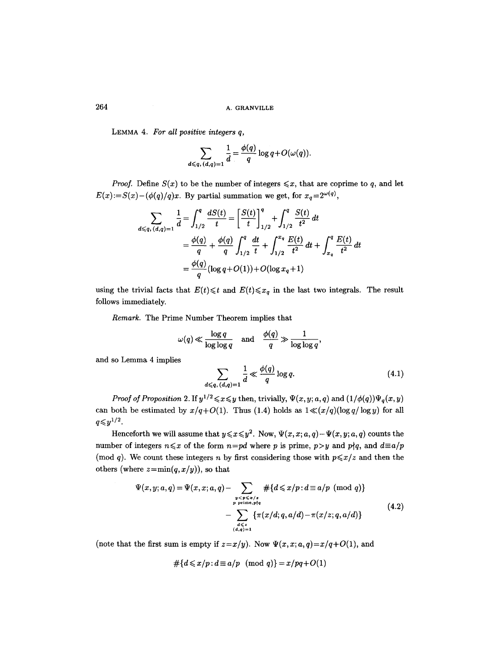LEMMA 4. *For all positive integers q,* 

$$
\sum_{d \leqslant q, (d,q)=1} \frac{1}{d} = \frac{\phi(q)}{q} \log q + O(\omega(q)).
$$

*Proof.* Define  $S(x)$  to be the number of integers  $\leq x$ , that are coprime to q, and let  $E(x) := S(x) - (\phi(q)/q)x$ . By partial summation we get, for  $x_q = 2^{\omega(q)}$ ,

$$
\sum_{d \leq q, (d,q)=1} \frac{1}{d} = \int_{1/2}^{q} \frac{dS(t)}{t} = \left[\frac{S(t)}{t}\right]_{1/2}^{q} + \int_{1/2}^{q} \frac{S(t)}{t^2} dt
$$
  

$$
= \frac{\phi(q)}{q} + \frac{\phi(q)}{q} \int_{1/2}^{q} \frac{dt}{t} + \int_{1/2}^{x_q} \frac{E(t)}{t^2} dt + \int_{x_q}^{q} \frac{E(t)}{t^2} dt
$$
  

$$
= \frac{\phi(q)}{q} (\log q + O(1)) + O(\log x_q + 1)
$$

using the trivial facts that  $E(t) \leq t$  and  $E(t) \leq x_q$  in the last two integrals. The result follows immediately.

*Remark.* The Prime Number Theorem implies that

$$
\omega(q) \ll \frac{\log q}{\log \log q} \quad \text{and} \quad \frac{\phi(q)}{q} \gg \frac{1}{\log \log q},
$$

and so Lemma 4 implies

$$
\sum_{d \leqslant q, (d,q)=1} \frac{1}{d} \ll \frac{\phi(q)}{q} \log q. \tag{4.1}
$$

*Proof of Proposition 2.* If  $y^{1/2} \le x \le y$  then, trivially,  $\Psi(x, y; a, q)$  and  $(1/\phi(q))\Psi_q(x, y)$ can both be estimated by  $x/q+O(1)$ . Thus (1.4) holds as  $1 \ll (x/q)(\log q/\log y)$  for all  $q \leqslant y^{1/2}.$ 

Henceforth we will assume that  $y \le x \le y^2$ . Now,  $\Psi(x, x; a, q) - \Psi(x, y; a, q)$  counts the number of integers  $n \leq x$  of the form  $n=pd$  where p is prime,  $p>y$  and  $p\nmid q$ , and  $d \equiv a/p$ (mod q). We count these integers n by first considering those with  $p \leq x/z$  and then the others (where  $z = min(q, x/y)$ ), so that

$$
\Psi(x, y; a, q) = \Psi(x, x; a, q) - \sum_{\substack{y < p \leq x / z \\ p \text{ prime}, p \nmid q}} # \{d \leq x / p : d \equiv a / p \pmod{q}\} \\
-\sum_{\substack{d \leq x \\ (d, q) = 1}} \{\pi(x/d; q, a/d) - \pi(x / z; q, a/d)\}\n\tag{4.2}
$$

(note that the first sum is empty if  $z=x/y$ ). Now  $\Psi(x, x; a, q)=x/q+O(1)$ , and

$$
\#\{d \leqslant x/p : d \equiv a/p \pmod{q}\} = x/pq + O(1)
$$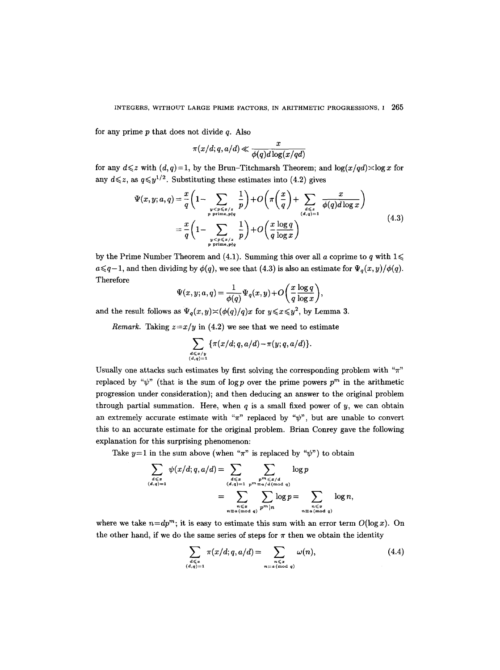for any prime  $p$  that does not divide  $q$ . Also

$$
\pi(x/d;q,a/d) \ll \frac{x}{\phi(q)d\log(x/qd)}
$$

for any  $d \leq z$  with  $(d, q)=1$ , by the Brun-Titchmarsh Theorem; and  $log(x/qd) \leq log x$  for any  $d \leq z$ , as  $q \leq y^{1/2}$ . Substituting these estimates into (4.2) gives

$$
\Psi(x, y; a, q) = \frac{x}{q} \left( 1 - \sum_{\substack{y < p \leq x/x \\ p \text{ prime}, p \nmid q}} \frac{1}{p} \right) + O\left(\pi \left(\frac{x}{q}\right) + \sum_{\substack{d \leq x \\ (d, q) = 1}} \frac{x}{\phi(q) d \log x}\right)
$$
\n
$$
= \frac{x}{q} \left( 1 - \sum_{\substack{y < p \leq x/x \\ p \text{ prime}, p \nmid q}} \frac{1}{p} \right) + O\left(\frac{x \log q}{q \log x}\right) \tag{4.3}
$$

by the Prime Number Theorem and (4.1). Summing this over all a coprime to q with  $1 \leq$  $a \leq q-1$ , and then dividing by  $\phi(q)$ , we see that (4.3) is also an estimate for  $\Psi_q(x, y)/\phi(q)$ . Therefore

$$
\Psi(x, y; a, q) = \frac{1}{\phi(q)} \Psi_q(x, y) + O\left(\frac{x \log q}{q \log x}\right),\,
$$

and the result follows as  $\Psi_q(x, y) \times (\phi(q)/q)x$  for  $y \leq x \leq y^2$ , by Lemma 3.

*Remark.* Taking  $z=x/y$  in (4.2) we see that we need to estimate

$$
\sum_{\substack{d \leqslant x/y \\ (d,q)=1}} \{ \pi(x/d; q, a/d) - \pi(y; q, a/d) \}.
$$

Usually one attacks such estimates by first solving the corresponding problem with " $\pi$ " replaced by " $\psi$ " (that is the sum of log p over the prime powers  $p^m$  in the arithmetic progression under consideration); and then deducing an answer to the original problem through partial summation. Here, when  $q$  is a small fixed power of  $y$ , we can obtain an extremely accurate estimate with " $\pi$ " replaced by " $\psi$ ", but are unable to convert this to an accurate estimate for the original problem. Brian Conrey gave the following explanation for this surprising phenomenon:

Take  $y=1$  in the sum above (when " $\pi$ " is replaced by " $\psi$ ") to obtain

$$
\sum_{\substack{d \leqslant x \\ (d,q)=1}} \psi(x/d; q, a/d) = \sum_{\substack{d \leqslant x \\ (d,q)=1}} \sum_{\substack{p^m \leqslant x/d \\ p^m \equiv a/d \pmod{q} \\ p^m | n}} \log p
$$
\n
$$
= \sum_{\substack{n \leqslant x \\ n \equiv a \pmod{q}}} \sum_{\substack{p^m \leqslant x/d \\ p^m | n}} \log p = \sum_{\substack{n \leqslant x \\ n \equiv a \pmod{q}}} \log n,
$$

where we take  $n=dp^m$ ; it is easy to estimate this sum with an error term  $O(\log x)$ . On the other hand, if we do the same series of steps for  $\pi$  then we obtain the identity

$$
\sum_{\substack{d \leq x \\ (d,q)=1}} \pi(x/d; q, a/d) = \sum_{\substack{n \leq x \\ n \equiv a \pmod{q}}} \omega(n), \tag{4.4}
$$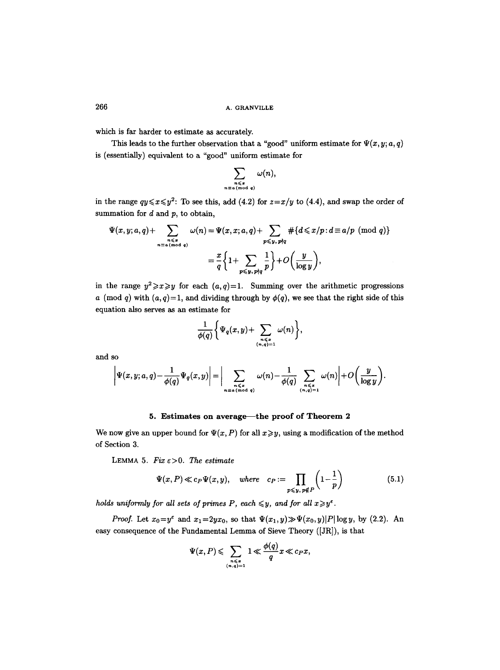which is far harder to estimate as accurately.

This leads to the further observation that a "good" uniform estimate for  $\Psi(x, y; a, q)$ is (essentially) equivalent to a "good" uniform estimate for

$$
\sum_{\substack{n \leqslant x \\ n \equiv a \pmod{q}}} \omega(n),
$$

in the range  $qy \leq x \leq y^2$ : To see this, add (4.2) for  $z=x/y$  to (4.4), and swap the order of summation for  $d$  and  $p$ , to obtain,

$$
\Psi(x, y; a, q) + \sum_{\substack{n \leq x \\ n \equiv a \pmod{q}}} \omega(n) = \Psi(x, x; a, q) + \sum_{p \leq y, p \nmid q} \#\{d \leq x/p : d \equiv a/p \pmod{q}\}
$$

$$
= \frac{x}{q} \left\{ 1 + \sum_{p \leq y, p \nmid q} \frac{1}{p} \right\} + O\left(\frac{y}{\log y}\right),
$$

in the range  $y^2 \ge x \ge y$  for each  $(a,q)=1$ . Summing over the arithmetic progressions a (mod q) with  $(a, q)=1$ , and dividing through by  $\phi(q)$ , we see that the right side of this equation also serves as an estimate for

$$
\frac{1}{\phi(q)}\bigg\{\Psi_q(x,y)+\sum_{\substack{n\leqslant x\\(n,q)=1}}\omega(n)\bigg\},\,
$$

and so

$$
\left|\Psi(x,y;a,q)-\frac{1}{\phi(q)}\Psi_q(x,y)\right|=\bigg|\sum_{\substack{n\leqslant x\\ n\equiv a\,(\text{mod }q)}}\omega(n)-\frac{1}{\phi(q)}\sum_{\substack{n\leqslant x\\ (n,q)=1}}\omega(n)\bigg|+O\bigg(\frac{y}{\log y}\bigg).
$$

## 5. Estimates on average—the proof of Theorem 2

We now give an upper bound for  $\Psi(x, P)$  for all  $x \geq y$ , using a modification of the method of Section 3.

LEMMA 5.  $Fix \varepsilon > 0$ . The estimate

$$
\Psi(x, P) \ll c_P \Psi(x, y), \quad where \quad c_P := \prod_{p \leq y, \, p \notin P} \left(1 - \frac{1}{p}\right) \tag{5.1}
$$

*holds uniformly for all sets of primes P, each*  $\leq y$ *, and for all*  $x \geq y^{\epsilon}$ *.* 

*Proof.* Let  $x_0=y^{\epsilon}$  and  $x_1=2yx_0$ , so that  $\Psi(x_1,y)\gg\Psi(x_0,y)|P|\log y$ , by (2.2). An easy consequence of the Fundamental Lemma of Sieve Theory ([JR]), is that

$$
\Psi(x,P) \leqslant \sum_{\substack{n \leqslant x \\ (n,q)=1}} 1 \ll \frac{\phi(q)}{q} x \ll c_P x,
$$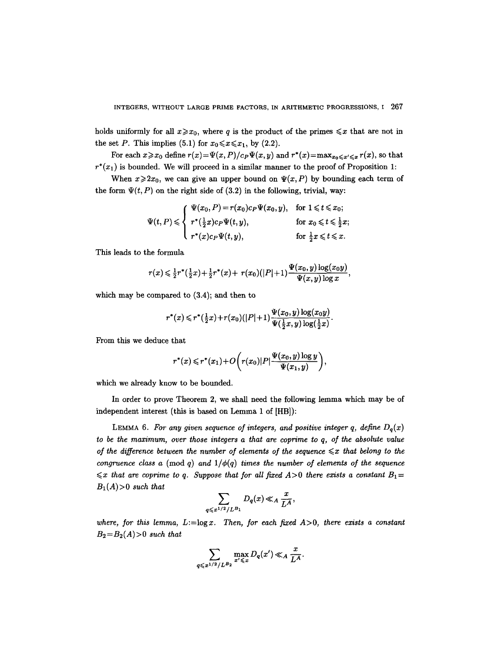holds uniformly for all  $x \ge x_0$ , where q is the product of the primes  $\le x$  that are not in the set P. This implies (5.1) for  $x_0 \le x \le x_1$ , by (2.2).

For each  $x \ge x_0$  define  $r(x) = \Psi(x, P)/c_P \Psi(x, y)$  and  $r^*(x) = \max_{x_0 \le x' \le x} r(x)$ , so that  $r^*(x_1)$  is bounded. We will proceed in a similar manner to the proof of Proposition 1:

When  $x\geqslant 2x_0$ , we can give an upper bound on  $\Psi(x, P)$  by bounding each term of the form  $\Psi(t, P)$  on the right side of (3.2) in the following, trivial, way:

$$
\Psi(t, P) \leqslant \begin{cases} \Psi(x_0, P) = r(x_0)c_P\Psi(x_0, y), & \text{for } 1 \leqslant t \leqslant x_0; \\ r^*(\frac{1}{2}x)c_P\Psi(t, y), & \text{for } x_0 \leqslant t \leqslant \frac{1}{2}x; \\ r^*(x)c_P\Psi(t, y), & \text{for } \frac{1}{2}x \leqslant t \leqslant x. \end{cases}
$$

This leads to the formula

$$
r(x) \leq \frac{1}{2}r^*(\frac{1}{2}x) + \frac{1}{2}r^*(x) + r(x_0)(|P|+1)\frac{\Psi(x_0,y)\log(x_0y)}{\Psi(x,y)\log x},
$$

which may be compared to (3.4); and then to

$$
r^{*}(x) \leqslant r^{*}(\frac{1}{2}x) + r(x_{0})(|P|+1)\frac{\Psi(x_{0}, y) \log(x_{0}y)}{\Psi(\frac{1}{2}x, y) \log(\frac{1}{2}x)}.
$$

From this we deduce that

$$
r^*(x) \leqslant r^*(x_1) + O\bigg(r(x_0)|P|\frac{\Psi(x_0,y)\log y}{\Psi(x_1,y)}\bigg),
$$

which we already know to be bounded.

In order to prove Theorem 2, we shall need the following lemma which may be of independent interest (this is based on Lemma 1 of [HB]):

LEMMA 6. For any given sequence of integers, and positive integer q, define  $D_q(x)$ *to be the maximum, over those integers a that are coprime to q, of the absolute value of the difference between the number of elements of the sequence*  $\leq x$  that belong to the *congruence class a (mod q) and*  $1/\phi(q)$  *times the number of elements of the sequence*  $\leq x$  that are coprime to q. Suppose that for all fixed  $A>0$  there exists a constant  $B_1=$  $B_1(A)$ >0 *such that* 

$$
\sum_{q\leqslant x^{1/2}/L^{B_1}}D_q(x)\ll_A \frac{x}{L^A},
$$

where, for this lemma,  $L:=\log x$ . Then, for each fixed  $A>0$ , there exists a constant  $B_2 = B_2(A) > 0$  such that

$$
\sum_{q \leqslant x^{1/2}/L^{B_2}} \max_{x' \leqslant x} D_q(x') \ll_A \frac{x}{L^A}.
$$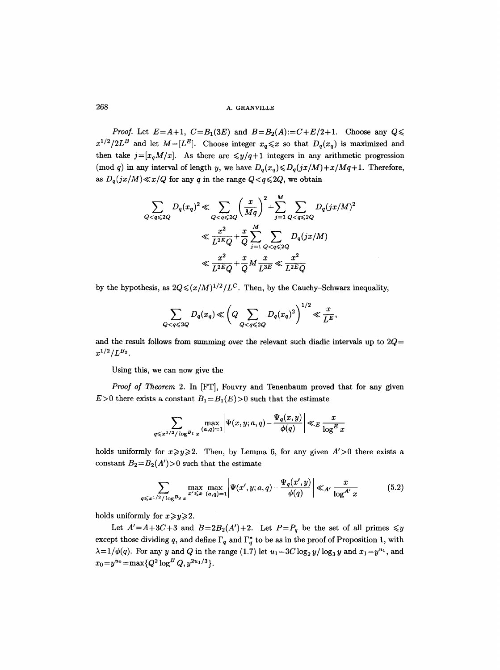*Proof.* Let  $E = A + 1$ ,  $C = B_1(3E)$  and  $B = B_2(A) = C + E/2 + 1$ . Choose any  $Q \leq$  $x^{1/2}/2L^B$  and let  $M=[L^E]$ . Choose integer  $x_q \leq x$  so that  $D_q(x_q)$  is maximized and then take  $j=[x_qM/x]$ . As there are  $\leq y/q+1$  integers in any arithmetic progression (mod q) in any interval of length y, we have  $D_q(x_q) \leq D_q(jx/M) + x/Mq + 1$ . Therefore, as  $D_q(jx/M) \ll x/Q$  for any q in the range  $Q < q \leq 2Q$ , we obtain

$$
\sum_{Q < q \le 2Q} D_q(x_q)^2 \ll \sum_{Q < q \le 2Q} \left(\frac{x}{Mq}\right)^2 + \sum_{j=1}^M \sum_{Q < q \le 2Q} D_q(jx/M)^2
$$
\n
$$
\ll \frac{x^2}{L^{2EQ}} + \frac{x}{Q} \sum_{j=1}^M \sum_{Q < q \le 2Q} D_q(jx/M)
$$
\n
$$
\ll \frac{x^2}{L^{2EQ}} + \frac{x}{Q} M \frac{x}{L^{3E}} \ll \frac{x^2}{L^{2EQ}}
$$

by the hypothesis, as  $2Q \leq (x/M)^{1/2}/L^C$ . Then, by the Cauchy-Schwarz inequality,

$$
\sum_{Q < q \leqslant 2Q} D_q(x_q) \ll \left(Q \sum_{Q < q \leqslant 2Q} D_q(x_q)^2\right)^{1/2} \ll \frac{x}{L^E},
$$

and the result follows from summing over the relevant such diadic intervals up to  $2Q=$  $x^{1/2}/L^{B_2}$ .

Using this, we can now give the

*Proof of Theorem* 2. In [FT], Fouvry and Tenenbaum proved that for any given  $E>0$  there exists a constant  $B_1 = B_1(E) > 0$  such that the estimate

$$
\sum_{q \leqslant x^{1/2}/\log^{B_1} x} \max_{(a,q)=1} \left| \Psi(x,y;a,q) - \frac{\Psi_q(x,y)}{\phi(q)} \right| \ll_E \frac{x}{\log^E x}
$$

holds uniformly for  $x \ge y \ge 2$ . Then, by Lemma 6, for any given  $A' > 0$  there exists a constant  $B_2 = B_2(A') > 0$  such that the estimate

$$
\sum_{q \leq x^{1/2}/\log^{B_2} x} \max_{x' \leq x} \max_{(a,q)=1} \left| \Psi(x',y;a,q) - \frac{\Psi_q(x',y)}{\phi(q)} \right| \ll_{A'} \frac{x}{\log^{A'} x} \tag{5.2}
$$

holds uniformly for  $x \ge y \ge 2$ .

Let  $A' = A + 3C + 3$  and  $B = 2B_2(A') + 2$ . Let  $P = P_q$  be the set of all primes  $\leq y$ except those dividing q, and define  $\Gamma_q$  and  $\Gamma_q^*$  to be as in the proof of Proposition 1, with  $\lambda = 1/\phi(q)$ . For any y and Q in the range (1.7) let  $u_1 = 3C \log_2 y / \log_3 y$  and  $x_1 = y^{u_1}$ , and  $x_0 = y^{u_0} = \max\{Q^2 \log^B Q, y^{2u_1/3}\}.$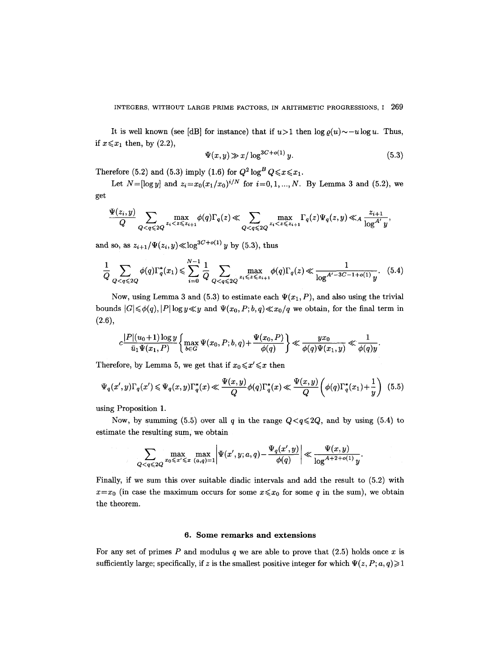It is well known (see [dB] for instance) that if  $u>1$  then  $log_\rho(u) \sim -u \log u$ . Thus, if  $x \leq x_1$  then, by (2.2),

$$
\Psi(x, y) \gg x/\log^{3C + o(1)} y. \tag{5.3}
$$

Therefore (5.2) and (5.3) imply (1.6) for  $Q^2 \log^B Q \le x \le x_1$ .

Let  $N=[\log y]$  and  $z_i=x_0(x_1/x_0)^{i/N}$  for  $i=0,1,...,N$ . By Lemma 3 and (5.2), we get

$$
\frac{\Psi(z_i, y)}{Q} \sum_{Q < q \leqslant 2Q} \max_{z_i < z \leqslant z_{i+1}} \phi(q) \Gamma_q(z) \ll \sum_{Q < q \leqslant 2Q} \max_{z_i < z \leqslant z_{i+1}} \Gamma_q(z) \Psi_q(z, y) \ll_A \frac{z_{i+1}}{\log^{A'} y},
$$

and so, as  $z_{i+1}/\Psi(z_i, y) \ll \log^{3C + o(1)} y$  by (5.3), thus

$$
\frac{1}{Q} \sum_{Q < q \leqslant 2Q} \phi(q) \Gamma_q^*(x_1) \leqslant \sum_{i=0}^{N-1} \frac{1}{Q} \sum_{Q < q \leqslant 2Q} \max_{z_i \leqslant z \leqslant z_{i+1}} \phi(q) \Gamma_q(z) \ll \frac{1}{\log^{A'-3C-1+o(1)} y} . \tag{5.4}
$$

Now, using Lemma 3 and (5.3) to estimate each  $\Psi(x_1, P)$ , and also using the trivial bounds  $|G| \leq \phi(q), |P| \log y \ll y$  and  $\Psi(x_0, P; b, q) \ll x_0/q$  we obtain, for the final term in (2.6),

$$
c\frac{|P|(u_0+1)\log y}{\bar{u}_1\Psi(x_1,P)}\left\{\max_{b\in G}\Psi(x_0,P;b,q)+\frac{\Psi(x_0,P)}{\phi(q)}\right\}\ll \frac{yx_0}{\phi(q)\Psi(x_1,y)}\ll \frac{1}{\phi(q)y}.
$$

Therefore, by Lemma 5, we get that if  $x_0 \le x' \le x$  then

$$
\Psi_q(x',y)\Gamma_q(x') \leqslant \Psi_q(x,y)\Gamma_q^*(x) \leqslant \frac{\Psi(x,y)}{Q}\phi(q)\Gamma_q^*(x) \leqslant \frac{\Psi(x,y)}{Q}\left(\phi(q)\Gamma_q^*(x_1) + \frac{1}{y}\right) \tag{5.5}
$$

using Proposition 1.

Now, by summing (5.5) over all q in the range  $Q < q \leq 2Q$ , and by using (5.4) to estimate the resulting sum, we obtain

$$
\sum_{Q
$$

Finally, if we sum this over suitable diadic intervals and add the result to (5.2) with  $x=x_0$  (in case the maximum occurs for some  $x \le x_0$  for some q in the sum), we obtain the theorem.

#### **6. Some remarks and extensions**

For any set of primes  $P$  and modulus  $q$  we are able to prove that (2.5) holds once  $x$  is sufficiently large; specifically, if z is the smallest positive integer for which  $\Psi(z, P; a, q) \geq 1$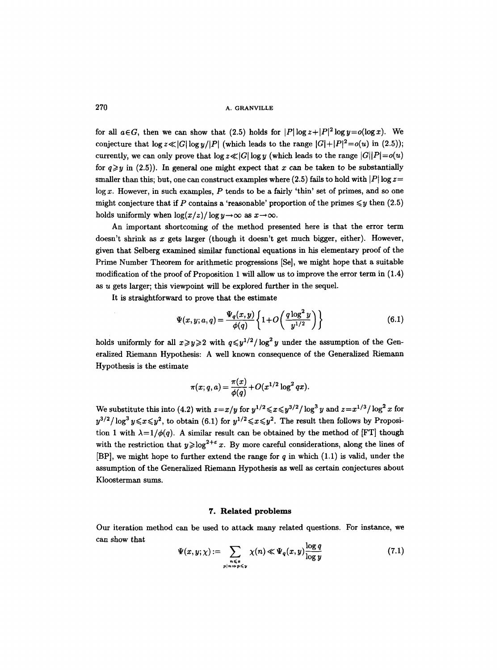for all  $a \in G$ , then we can show that (2.5) holds for  $|P| \log z + |P|^2 \log y = o(\log x)$ . We conjecture that  $\log z \ll |G| \log y/|P|$  (which leads to the range  $|G| + |P|^2 = o(u)$  in (2.5)); currently, we can only prove that  $\log z \ll |G| \log y$  (which leads to the range  $|G||P| = o(u)$ ) for  $q \geq y$  in (2.5)). In general one might expect that x can be taken to be substantially smaller than this; but, one can construct examples where  $(2.5)$  fails to hold with  $|P| \log z =$  $\log x$ . However, in such examples,  $P$  tends to be a fairly 'thin' set of primes, and so one might conjecture that if P contains a 'reasonable' proportion of the primes  $\leq y$  then (2.5) holds uniformly when  $\log(x/z)/\log y \to \infty$  as  $x \to \infty$ .

An important shortcoming of the method presented here is that the error term doesn't shrink as  $x$  gets larger (though it doesn't get much bigger, either). However, given that Selberg examined similar functional equations in his elementary proof of the Prime Number Theorem for arithmetic progressions [Se], we might hope that a suitable modification of the proof of Proposition 1 will allow us to improve the error term in (1.4) as u gets larger; this viewpoint will be explored further in the sequel.

It is straightforward to prove that the estimate

$$
\Psi(x,y;a,q) = \frac{\Psi_q(x,y)}{\phi(q)} \left\{ 1 + O\left(\frac{q \log^2 y}{y^{1/2}}\right) \right\} \tag{6.1}
$$

holds uniformly for all  $x \ge y \ge 2$  with  $q \le y^{1/2}/\log^2 y$  under the assumption of the Generalized Riemann Hypothesis: A well known consequence of the Generalized Riemann Hypothesis is the estimate

$$
\pi(x; q, a) = \frac{\pi(x)}{\phi(q)} + O(x^{1/2} \log^2 qx).
$$

We substitute this into (4.2) with  $z=x/y$  for  $y^{1/2} \le x \le y^{3/2}/\log^3 y$  and  $z=x^{1/3}/\log^2 x$  for  $y^{3/2}/\log^3 y \leq x \leq y^2$ , to obtain (6.1) for  $y^{1/2} \leq x \leq y^2$ . The result then follows by Proposition 1 with  $\lambda=1/\phi(q)$ . A similar result can be obtained by the method of [FT] though with the restriction that  $y \geq \log^{2+\epsilon} x$ . By more careful considerations, along the lines of [BP], we might hope to further extend the range for  $q$  in which (1.1) is valid, under the assumption of the Generalized Riemann Hypothesis as well as certain conjectures about Kloosterman sums.

#### **7. Related problems**

Our iteration method can be used to attack many related questions. For instance, we can show that

$$
\Psi(x,y;\chi) := \sum_{\substack{n \leq x \\ p \mid n \Rightarrow p \leq y}} \chi(n) \ll \Psi_q(x,y) \frac{\log q}{\log y} \tag{7.1}
$$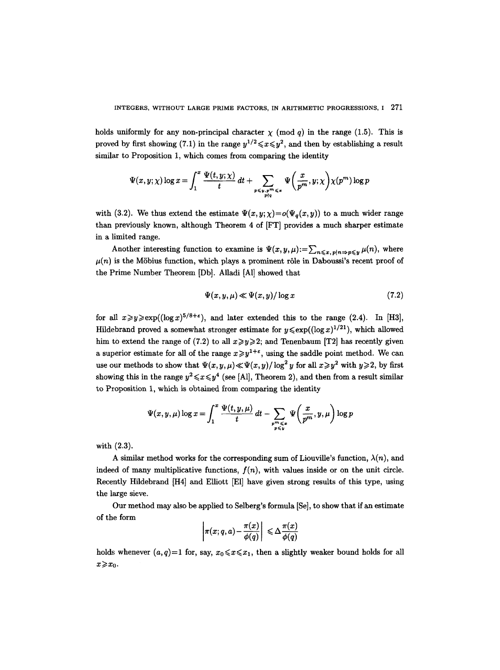holds uniformly for any non-principal character  $\chi$  (mod q) in the range (1.5). This is proved by first showing (7.1) in the range  $y^{1/2} \leq x \leq y^2$ , and then by establishing a result similar to Proposition 1, which comes from comparing the identity

$$
\Psi(x,y;\chi)\log x = \int_1^x \frac{\Psi(t,y;\chi)}{t}\,dt + \sum_{\substack{p \leqslant y, p^m \leqslant x \\ p \nmid q}} \Psi\bigg(\frac{x}{p^m},y;\chi\bigg) \chi(p^m) \log p
$$

with (3.2). We thus extend the estimate  $\Psi(x, y; \chi) = o(\Psi_a(x, y))$  to a much wider range than previously known, although Theorem 4 of [FT] provides a much sharper estimate in a limited range.

Another interesting function to examine is  $\Psi(x, y, \mu) := \sum_{n \leq x, p|n \Rightarrow p \leq y} \mu(n)$ , where  $\mu(n)$  is the Möbius function, which plays a prominent rôle in Daboussi's recent proof of the Prime Number Theorem [Db]. AUadi [A1] showed that

$$
\Psi(x, y, \mu) \ll \Psi(x, y) / \log x \tag{7.2}
$$

for all  $x\geq y\geq \exp((\log x)^{5/8+\epsilon})$ , and later extended this to the range (2.4). In [H3], Hildebrand proved a somewhat stronger estimate for  $y \leq \exp((\log x)^{1/21})$ , which allowed him to extend the range of (7.2) to all  $x \ge y \ge 2$ ; and Tenenbaum [T2] has recently given a superior estimate for all of the range  $x \geq y^{1+\epsilon}$ , using the saddle point method. We can use our methods to show that  $\Psi(x, y, \mu) \ll \Psi(x, y) / \log^2 y$  for all  $x \geq y^2$  with  $y \geq 2$ , by first showing this in the range  $y^2 \le x \le y^4$  (see [Al], Theorem 2), and then from a result similar to Proposition 1, which is obtained from comparing the identity

$$
\Psi(x, y, \mu) \log x = \int_1^x \frac{\Psi(t, y, \mu)}{t} dt - \sum_{\substack{p^m \leq x \\ p \leq y}} \Psi\left(\frac{x}{p^m}, y, \mu\right) \log p
$$

with (2.3).

A similar method works for the corresponding sum of Liouville's function,  $\lambda(n)$ , and indeed of many multiplicative functions,  $f(n)$ , with values inside or on the unit circle. Recently Hildebrand [H4] and Elliott [Eli have given strong results of this type, using the large sieve.

Our method may also be applied to Selberg's formula [Se], to show that if an estimate of the form

$$
\left|\pi(x;q,a)-\frac{\pi(x)}{\phi(q)}\right| \leq \Delta \frac{\pi(x)}{\phi(q)}
$$

holds whenever  $(a, q)=1$  for, say,  $x_0 \leq x \leq x_1$ , then a slightly weaker bound holds for all  $x \geq x_0$ .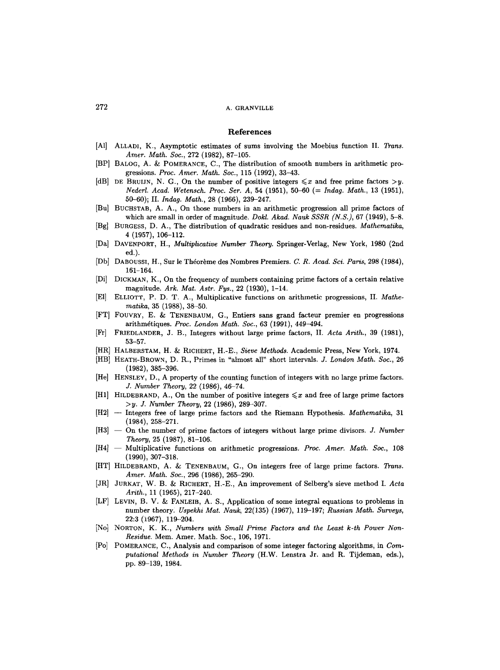#### **References**

- [A1] ALLADI, K., Asymptotic estimates of sums involving the Moebius function II. *Trans. Amer. Math. Soc.,* 272 (1982), 87-105.
- [BP] BALOG, A. & POMERANCE, C., The distribution of smooth numbers in arithmetic progressions. *Proc. Amer. Math. Soc.,* 115 (1992), 33-43.
- [dB] DE BRUIJN, N. G., On the number of positive integers  $\leq x$  and free prime factors  $>y$ . *Nederl. Acad. Wetensch. Proc. Ser. A,* 54 (1951), 50-60 *(= Indag. Math.,* 13 (1951), 50-60); II. *Indag. Math.,* 28 (1966), 239-247.
- [Bu] BUCHSTAB, A. A., On those numbers in an arithmetic progression all prime factors of which are small in order of magnitude. *Dokl. Akad. Nauk SSSR (N.S.),* 67 (1949), 5-8.
- [Bg] BURGESS, D. A., The distribution of quadratic residues and non-residues. *Mathematika,*  4 (1957), 106-112.
- IDa] DAVENPORT, H., *Multiplicative Number Theory.* Springer-Verlag, New York, 1980 (2nd ed.).
- [Db] DABOUSSI, H., Sur le Thdorbme des Nombres Premiers. *C. R. Acad. Sci. Paris,* 298 (1984), 161-164.
- [Di] DICKMAN, K., On the frequency of numbers containing prime factors of a certain relative magnitude. *Ark. Mat. Astr. Fys.,* 22 (1930), 1-14.
- [El] ELLIOTT, P. D. T. A., Multiplicative functions on arithmetic progressions, II. *Mathematika,* 35 (1988), 38-50.
- [FT] FOUVRY, E. & TENENBAUM, G., Entiers sans grand facteur premier en progressions arithm~tiques. *Proc. London Math. Soc., 63* (1991), *449-494.*
- [Fr] FRIEDLANDER, J. B., Integers without large prime factors, II. *Acta Arith.,* 39 (1981), 53-57.
- [HR] HALBERSTAM, n. & R.ICHERT, H.-E., *Sieve Methods.* Academic Press, New York, 1974.
- [HB] HEATH-BROWN, D. R., Primes in "almost all" short intervals. *J. London Math. Soc.,* 26 (1982), 385-396.
- [He] HENSLEY, D., A property of the counting function of integers with no large prime factors. *J. Number Theory,* 22 (1986), *46-74.*
- [H1] HILDEBRAND, A., On the number of positive integers  $\leq x$  and free of large prime factors *>y. J. Number Theory,* 22 (1986), 289-307.
- [H2] -- Integers free of large prime factors and the Riemann Hypothesis. *Mathematika,* 31 (1984), 258-271.
- [H3] -- On the number of prime factors of integers without large prime divisors. *J. Number Theory,* 25 (1987), 81-106.
- [H41 -- Multiplicative functions on arithmetic progressions. *Proc. Amer. Math. Soe.,* 108 (1990), 307-318.
- [HT] HILDEBRAND, A. & TENENBAUM, G., On integers free of large prime factors. *Trans. Amer. Math. Soc.,* 296 (1986), 265-290.
- [JR] JURKAT, W. B. & RICHERT, H.-E., An improvement of Selberg's sieve method I. Acta *Arith.,* 11 (1965), 217-240.
- [LF] LEVIN, B. V. & FANLEIB, A. S., Application of some integral equations to problems in number theory: *Yspekhi Mat. Nauk,* 22(135) (1967), 119-197; *Russian Math. Surveys,*  22:3 (1967), 119-204.
- [No] NORTON, K. K., *Numbers with Small Prime Factors and the Least k-th Power Non-Residue.* Mem. Amer. Math. Soc., 106, 1971.
- [Po] POMERANCE, C., Analysis and comparison of some integer factoring algorithms, in *Computational Methods in Number Theory* (H.W. Lenstra Jr. and R. Tijdeman, eds.), pp. 89-139, 1984.